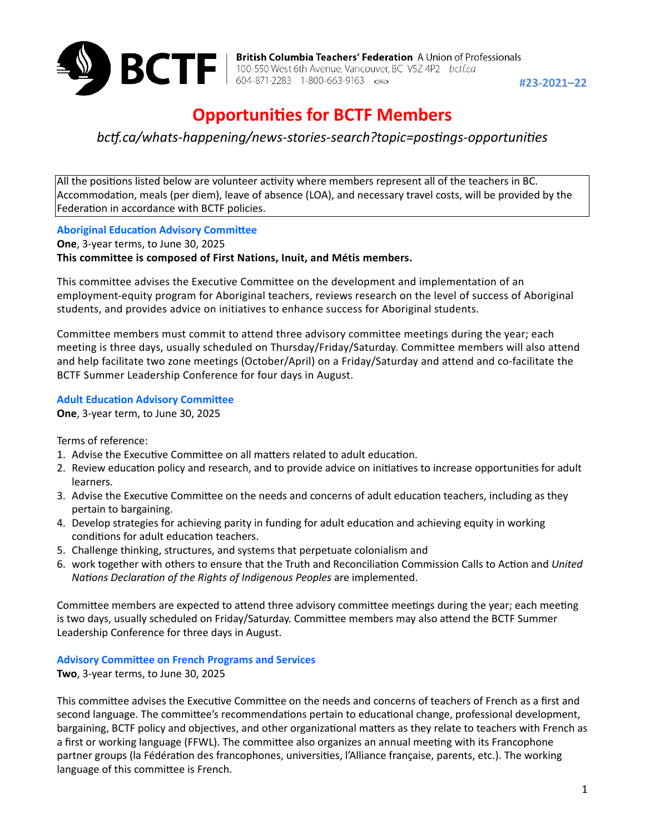

**2021–22** British Columbia Teachers' Federation A Union of Professionals<br>100-550 West 6th Avenue, Vancouver, BC V5Z 4P2 *bctf.ca*<br>**#23-2021–22**<br>**#23-2021–22** 

# **Opportunities for BCTF Members**

*bc#.ca/whats-happening/news-stories-search?topic=pos5ngs-opportuni5es*

All the positions listed below are volunteer activity where members represent all of the teachers in BC. Accommodation, meals (per diem), leave of absence (LOA), and necessary travel costs, will be provided by the Federation in accordance with BCTF policies.

**Aboriginal Education Advisory Committee** 

**One**, 3-year terms, to June 30, 2025 **This committee is composed of First Nations, Inuit, and Métis members.**

This committee advises the Executive Committee on the development and implementation of an employment-equity program for Aboriginal teachers, reviews research on the level of success of Aboriginal students, and provides advice on initiatives to enhance success for Aboriginal students.

Committee members must commit to attend three advisory committee meetings during the year; each meeting is three days, usually scheduled on Thursday/Friday/Saturday. Committee members will also attend and help facilitate two zone meetings (October/April) on a Friday/Saturday and attend and co-facilitate the BCTF Summer Leadership Conference for four days in August.

## **Adult Education Advisory Committee**

**One**, 3-year term, to June 30, 2025

Terms of reference:

- 1. Advise the Executive Committee on all matters related to adult education.
- 2. Review education policy and research, and to provide advice on initiatives to increase opportunities for adult learners.
- 3. Advise the Executive Committee on the needs and concerns of adult education teachers, including as they pertain to bargaining.
- 4. Develop strategies for achieving parity in funding for adult education and achieving equity in working conditions for adult education teachers.
- 5. Challenge thinking, structures, and systems that perpetuate colonialism and
- 6. work together with others to ensure that the Truth and Reconciliation Commission Calls to Action and *United Na5ons Declara5on of the Rights of Indigenous Peoples* are implemented.

Committee members are expected to attend three advisory committee meetings during the year; each meeting is two days, usually scheduled on Friday/Saturday. Committee members may also attend the BCTF Summer Leadership Conference for three days in August.

## **Advisory Committee on French Programs and Services**

**Two**, 3-year terms, to June 30, 2025

This committee advises the Executive Committee on the needs and concerns of teachers of French as a first and second language. The committee's recommendations pertain to educational change, professional development, bargaining, BCTF policy and objectives, and other organizational matters as they relate to teachers with French as a first or working language (FFWL). The committee also organizes an annual meeting with its Francophone partner groups (la Fédération des francophones, universities, l'Alliance française, parents, etc.). The working language of this committee is French.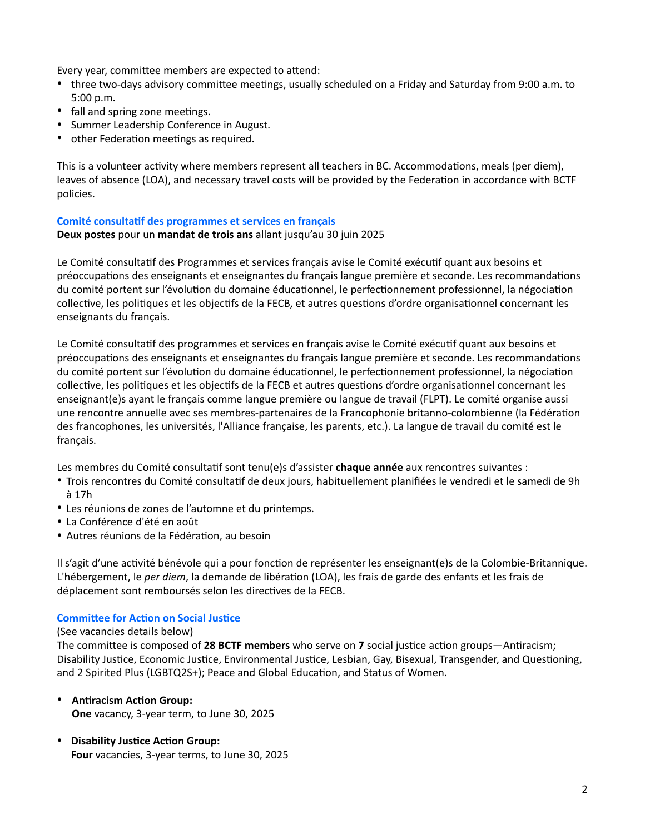Every year, committee members are expected to attend:

- three two-days advisory committee meetings, usually scheduled on a Friday and Saturday from 9:00 a.m. to 5:00 p.m.
- fall and spring zone meetings.
- Summer Leadership Conference in August.
- other Federation meetings as required.

This is a volunteer activity where members represent all teachers in BC. Accommodations, meals (per diem), leaves of absence (LOA), and necessary travel costs will be provided by the Federation in accordance with BCTF policies.

## **Comité consultatif des programmes et services en français**

**Deux postes** pour un **mandat de trois ans** allant jusqu'au 30 juin 2025

Le Comité consultatif des Programmes et services français avise le Comité exécutif quant aux besoins et préoccupations des enseignants et enseignantes du français langue première et seconde. Les recommandations du comité portent sur l'évolution du domaine éducationnel, le perfectionnement professionnel, la négociation collective, les politiques et les objectifs de la FECB, et autres questions d'ordre organisationnel concernant les enseignants du français.

Le Comité consultatif des programmes et services en français avise le Comité exécutif quant aux besoins et préoccupations des enseignants et enseignantes du français langue première et seconde. Les recommandations du comité portent sur l'évolution du domaine éducationnel, le perfectionnement professionnel, la négociation collective, les politiques et les objectifs de la FECB et autres questions d'ordre organisationnel concernant les enseignant(e)s ayant le français comme langue première ou langue de travail (FLPT). Le comité organise aussi une rencontre annuelle avec ses membres-partenaires de la Francophonie britanno-colombienne (la Fédération des francophones, les universités, l'Alliance française, les parents, etc.). La langue de travail du comité est le français.

Les membres du Comité consultatif sont tenu(e)s d'assister **chaque année** aux rencontres suivantes :

- Trois rencontres du Comité consultatif de deux jours, habituellement planifiées le vendredi et le samedi de 9h à 17h
- Les réunions de zones de l'automne et du printemps.
- La Conférence d'été en août
- Autres réunions de la Fédération, au besoin

Il s'agit d'une activité bénévole qui a pour fonction de représenter les enseignant(e)s de la Colombie-Britannique. L'hébergement, le *per diem*, la demande de libération (LOA), les frais de garde des enfants et les frais de déplacement sont remboursés selon les directives de la FECB.

## **Committee for Action on Social Justice**

#### (See vacancies details below)

The committee is composed of 28 BCTF members who serve on 7 social justice action groups—Antiracism; Disability Justice, Economic Justice, Environmental Justice, Lesbian, Gay, Bisexual, Transgender, and Questioning, and 2 Spirited Plus (LGBTQ2S+); Peace and Global Education, and Status of Women.

- **Antiracism Action Group: One** vacancy, 3-year term, to June 30, 2025
- Disability Justice Action Group: **Four** vacancies, 3-year terms, to June 30, 2025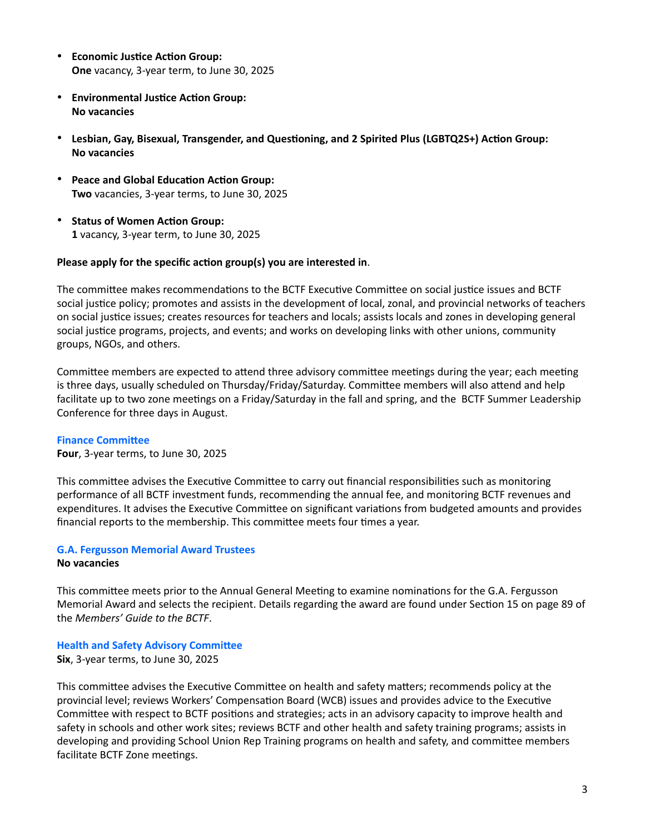- **Economic Justice Action Group: One** vacancy, 3-year term, to June 30, 2025
- **Environmental Justice Action Group: No vacancies**
- Lesbian, Gay, Bisexual, Transgender, and Questioning, and 2 Spirited Plus (LGBTQ2S+) Action Group: **No vacancies**
- Peace and Global Education Action Group: **Two** vacancies, 3-year terms, to June 30, 2025
- Status of Women Action Group: **1** vacancy, 3-year term, to June 30, 2025

## Please apply for the specific action group(s) you are interested in.

The committee makes recommendations to the BCTF Executive Committee on social justice issues and BCTF social justice policy; promotes and assists in the development of local, zonal, and provincial networks of teachers on social justice issues; creates resources for teachers and locals; assists locals and zones in developing general social justice programs, projects, and events; and works on developing links with other unions, community groups, NGOs, and others.

Committee members are expected to attend three advisory committee meetings during the year; each meeting is three days, usually scheduled on Thursday/Friday/Saturday. Committee members will also attend and help facilitate up to two zone meetings on a Friday/Saturday in the fall and spring, and the BCTF Summer Leadership Conference for three days in August.

## **Finance Committee**

**Four**, 3-year terms, to June 30, 2025

This committee advises the Executive Committee to carry out financial responsibilities such as monitoring performance of all BCTF investment funds, recommending the annual fee, and monitoring BCTF revenues and expenditures. It advises the Executive Committee on significant variations from budgeted amounts and provides financial reports to the membership. This committee meets four times a year.

## **G.A. Fergusson Memorial Award Trustees No vacancies**

This committee meets prior to the Annual General Meeting to examine nominations for the G.A. Fergusson Memorial Award and selects the recipient. Details regarding the award are found under Section 15 on page 89 of the *Members' Guide to the BCTF*.

## **Health and Safety Advisory Committee**

**Six**, 3-year terms, to June 30, 2025

This committee advises the Executive Committee on health and safety matters; recommends policy at the provincial level; reviews Workers' Compensation Board (WCB) issues and provides advice to the Executive Committee with respect to BCTF positions and strategies; acts in an advisory capacity to improve health and safety in schools and other work sites; reviews BCTF and other health and safety training programs; assists in developing and providing School Union Rep Training programs on health and safety, and committee members facilitate BCTF Zone meetings.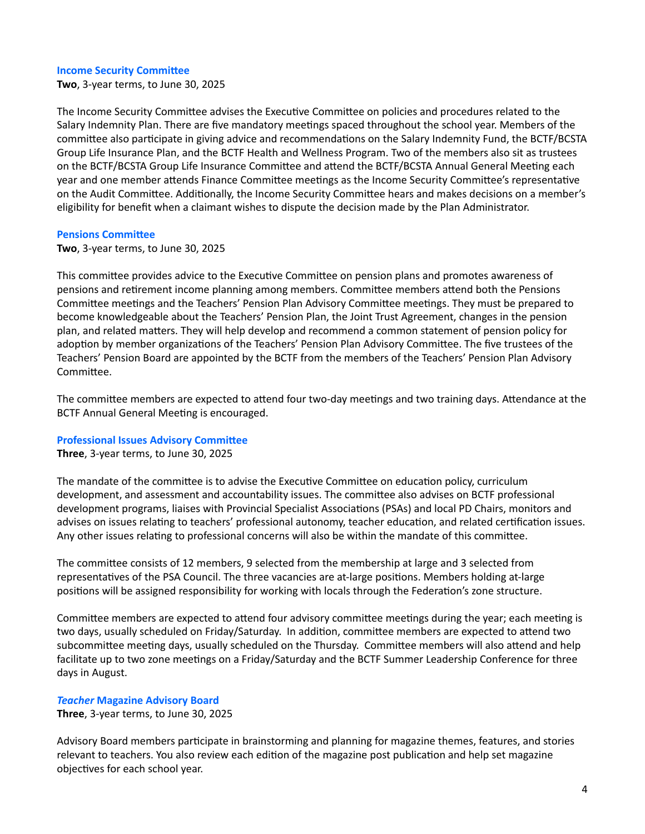#### **Income Security Committee**

**Two**, 3-year terms, to June 30, 2025

The Income Security Committee advises the Executive Committee on policies and procedures related to the Salary Indemnity Plan. There are five mandatory meetings spaced throughout the school year. Members of the committee also participate in giving advice and recommendations on the Salary Indemnity Fund, the BCTF/BCSTA Group Life Insurance Plan, and the BCTF Health and Wellness Program. Two of the members also sit as trustees on the BCTF/BCSTA Group Life Insurance Committee and attend the BCTF/BCSTA Annual General Meeting each year and one member attends Finance Committee meetings as the Income Security Committee's representative on the Audit Committee. Additionally, the Income Security Committee hears and makes decisions on a member's eligibility for benefit when a claimant wishes to dispute the decision made by the Plan Administrator.

#### **Pensions Committee**

**Two**, 3-year terms, to June 30, 2025

This committee provides advice to the Executive Committee on pension plans and promotes awareness of pensions and retirement income planning among members. Committee members attend both the Pensions Committee meetings and the Teachers' Pension Plan Advisory Committee meetings. They must be prepared to become knowledgeable about the Teachers' Pension Plan, the Joint Trust Agreement, changes in the pension plan, and related matters. They will help develop and recommend a common statement of pension policy for adoption by member organizations of the Teachers' Pension Plan Advisory Committee. The five trustees of the Teachers' Pension Board are appointed by the BCTF from the members of the Teachers' Pension Plan Advisory Committee.

The committee members are expected to attend four two-day meetings and two training days. Attendance at the BCTF Annual General Meeting is encouraged.

#### **Professional Issues Advisory Committee**

**Three**, 3-year terms, to June 30, 2025

The mandate of the committee is to advise the Executive Committee on education policy, curriculum development, and assessment and accountability issues. The committee also advises on BCTF professional development programs, liaises with Provincial Specialist Associations (PSAs) and local PD Chairs, monitors and advises on issues relating to teachers' professional autonomy, teacher education, and related certification issues. Any other issues relating to professional concerns will also be within the mandate of this committee.

The committee consists of 12 members, 9 selected from the membership at large and 3 selected from representatives of the PSA Council. The three vacancies are at-large positions. Members holding at-large positions will be assigned responsibility for working with locals through the Federation's zone structure.

Committee members are expected to attend four advisory committee meetings during the year; each meeting is two days, usually scheduled on Friday/Saturday. In addition, committee members are expected to attend two subcommittee meeting days, usually scheduled on the Thursday. Committee members will also attend and help facilitate up to two zone meetings on a Friday/Saturday and the BCTF Summer Leadership Conference for three days in August.

#### *Teacher* **Magazine Advisory Board**

**Three**, 3-year terms, to June 30, 2025

Advisory Board members participate in brainstorming and planning for magazine themes, features, and stories relevant to teachers. You also review each edition of the magazine post publication and help set magazine objectives for each school year.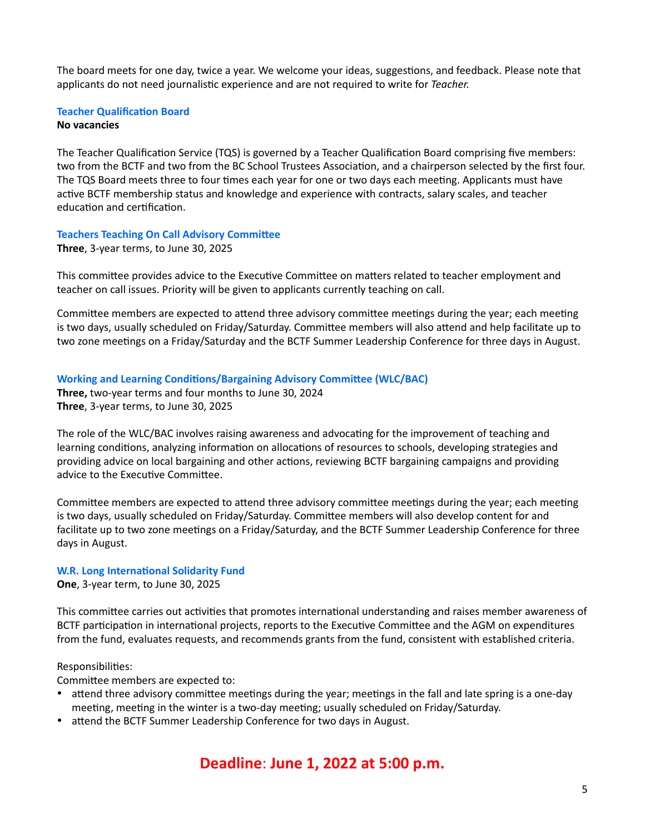The board meets for one day, twice a year. We welcome your ideas, suggestions, and feedback. Please note that applicants do not need journalistic experience and are not required to write for *Teacher.* 

## **Teacher Qualification Board**

#### **No vacancies**

The Teacher Qualification Service (TQS) is governed by a Teacher Qualification Board comprising five members: two from the BCTF and two from the BC School Trustees Association, and a chairperson selected by the first four. The TQS Board meets three to four times each year for one or two days each meeting. Applicants must have active BCTF membership status and knowledge and experience with contracts, salary scales, and teacher education and certification.

## **Teachers Teaching On Call Advisory Committee**

**Three**, 3-year terms, to June 30, 2025

This committee provides advice to the Executive Committee on matters related to teacher employment and teacher on call issues. Priority will be given to applicants currently teaching on call.

Committee members are expected to attend three advisory committee meetings during the year; each meeting is two days, usually scheduled on Friday/Saturday. Committee members will also attend and help facilitate up to two zone meetings on a Friday/Saturday and the BCTF Summer Leadership Conference for three days in August.

### **Working and Learning Conditions/Bargaining Advisory Committee (WLC/BAC)**

**Three,** two-year terms and four months to June 30, 2024 **Three**, 3-year terms, to June 30, 2025

The role of the WLC/BAC involves raising awareness and advocating for the improvement of teaching and learning conditions, analyzing information on allocations of resources to schools, developing strategies and providing advice on local bargaining and other actions, reviewing BCTF bargaining campaigns and providing advice to the Executive Committee.

Committee members are expected to attend three advisory committee meetings during the year; each meeting is two days, usually scheduled on Friday/Saturday. Committee members will also develop content for and facilitate up to two zone meetings on a Friday/Saturday, and the BCTF Summer Leadership Conference for three days in August.

#### **W.R. Long International Solidarity Fund**

**One**, 3-year term, to June 30, 2025

This committee carries out activities that promotes international understanding and raises member awareness of BCTF participation in international projects, reports to the Executive Committee and the AGM on expenditures from the fund, evaluates requests, and recommends grants from the fund, consistent with established criteria.

## Responsibilities:

Committee members are expected to:

- attend three advisory committee meetings during the year; meetings in the fall and late spring is a one-day meeting, meeting in the winter is a two-day meeting; usually scheduled on Friday/Saturday.
- attend the BCTF Summer Leadership Conference for two days in August.

# **Deadline**: **June 1, 2022 at 5:00 p.m.**